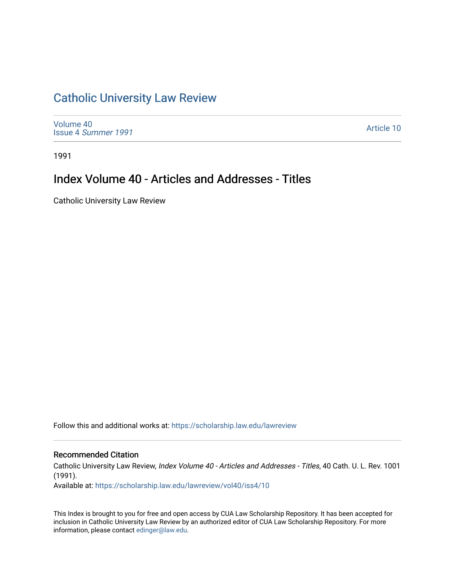## [Catholic University Law Review](https://scholarship.law.edu/lawreview)

[Volume 40](https://scholarship.law.edu/lawreview/vol40) Issue 4 [Summer 1991](https://scholarship.law.edu/lawreview/vol40/iss4) 

[Article 10](https://scholarship.law.edu/lawreview/vol40/iss4/10) 

1991

## Index Volume 40 - Articles and Addresses - Titles

Catholic University Law Review

Follow this and additional works at: [https://scholarship.law.edu/lawreview](https://scholarship.law.edu/lawreview?utm_source=scholarship.law.edu%2Flawreview%2Fvol40%2Fiss4%2F10&utm_medium=PDF&utm_campaign=PDFCoverPages)

#### Recommended Citation

Catholic University Law Review, Index Volume 40 - Articles and Addresses - Titles, 40 Cath. U. L. Rev. 1001 (1991).

Available at: [https://scholarship.law.edu/lawreview/vol40/iss4/10](https://scholarship.law.edu/lawreview/vol40/iss4/10?utm_source=scholarship.law.edu%2Flawreview%2Fvol40%2Fiss4%2F10&utm_medium=PDF&utm_campaign=PDFCoverPages) 

This Index is brought to you for free and open access by CUA Law Scholarship Repository. It has been accepted for inclusion in Catholic University Law Review by an authorized editor of CUA Law Scholarship Repository. For more information, please contact [edinger@law.edu.](mailto:edinger@law.edu)